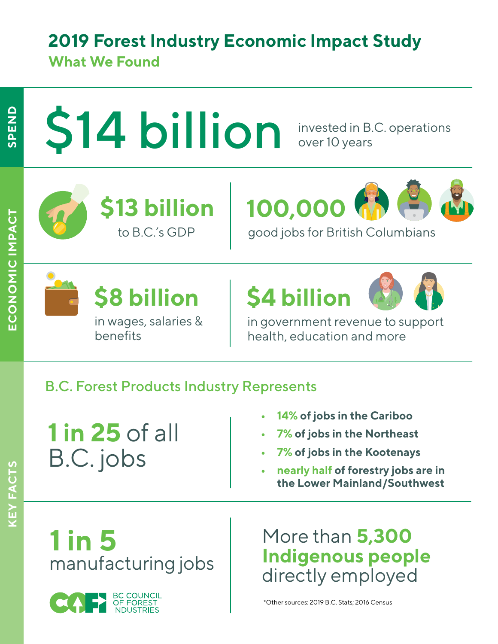### **2019 Forest Industry Economic Impact Study**

#### **What We Found**

# \$14 billion

invested in B.C. operations over 10 years





in wages, salaries &

to B.C.'s GDP good jobs for British Columbians

# **\$8 billion \$4 billion**



in government revenue to support health, education and more

#### B.C. Forest Products Industry Represents

**1 in 25** of all B.C. jobs

benefits

- **• 14% of jobs in the Cariboo**
- **• 7% of jobs in the Northeast**
- **• 7% of jobs in the Kootenays**
- **• nearly half of forestry jobs are in the Lower Mainland/Southwest**

**1 in 5** manufacturing jobs

More than **5,300 Indigenous people**  directly employed

\*Other sources: 2019 B.C. Stats; 2016 Census